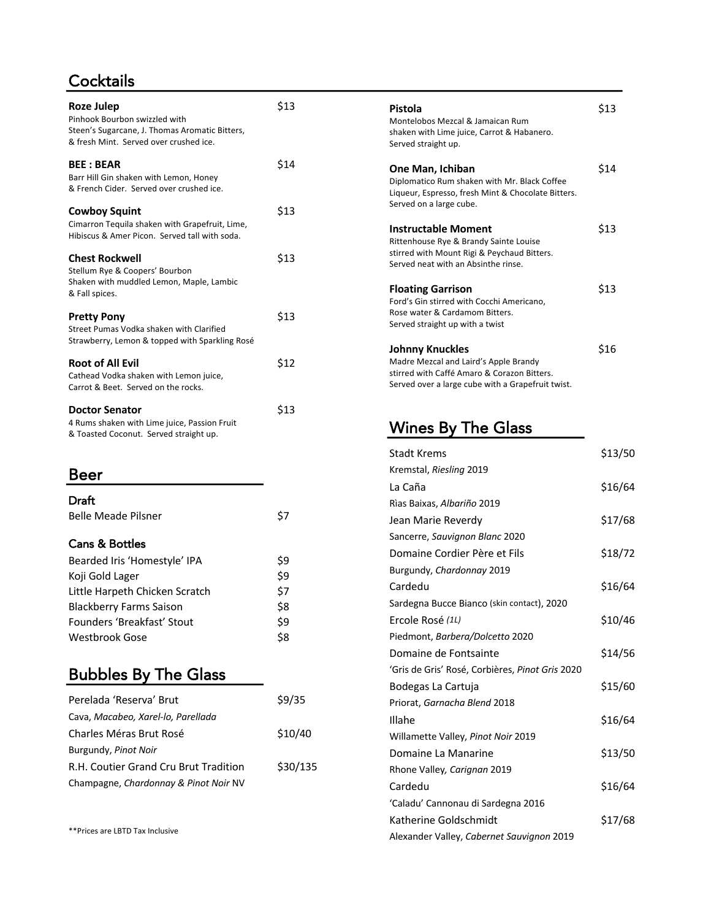# **Cocktails**

| Roze Julep<br>Pinhook Bourbon swizzled with<br>Steen's Sugarcane, J. Thomas Aromatic Bitters,<br>& fresh Mint. Served over crushed ice. | \$13 | Pistola<br>Montelobos Mezcal & Jamaican Rum<br>shaken with Lime juice, Carrot & Habanero.<br>Served straight up.                          |
|-----------------------------------------------------------------------------------------------------------------------------------------|------|-------------------------------------------------------------------------------------------------------------------------------------------|
| <b>BEE: BEAR</b><br>Barr Hill Gin shaken with Lemon, Honey<br>& French Cider. Served over crushed ice.                                  | \$14 | One Man, Ichiban<br>Diplomatico Rum shaken with Mr. Black Coffee<br>Liqueur, Espresso, fresh Mint & Chocolate Bitters.                    |
| <b>Cowboy Squint</b>                                                                                                                    | \$13 | Served on a large cube.                                                                                                                   |
| Cimarron Tequila shaken with Grapefruit, Lime,<br>Hibiscus & Amer Picon. Served tall with soda.                                         |      | <b>Instructable Moment</b><br>Rittenhouse Rye & Brandy Sainte Louise                                                                      |
| <b>Chest Rockwell</b><br>Stellum Rye & Coopers' Bourbon                                                                                 | \$13 | stirred with Mount Rigi & Peychaud Bitters.<br>Served neat with an Absinthe rinse.                                                        |
| Shaken with muddled Lemon, Maple, Lambic<br>& Fall spices.                                                                              |      | <b>Floating Garrison</b><br>Ford's Gin stirred with Cocchi Americano.                                                                     |
| <b>Pretty Pony</b><br>Street Pumas Vodka shaken with Clarified<br>Strawberry, Lemon & topped with Sparkling Rosé                        | \$13 | Rose water & Cardamom Bitters.<br>Served straight up with a twist                                                                         |
|                                                                                                                                         |      | <b>Johnny Knuckles</b>                                                                                                                    |
| <b>Root of All Evil</b><br>Cathead Vodka shaken with Lemon juice,<br>Carrot & Beet. Served on the rocks.                                | \$12 | Madre Mezcal and Laird's Apple Brandy<br>stirred with Caffé Amaro & Corazon Bitters.<br>Served over a large cube with a Grapefruit twist. |
| <b>Doctor Senator</b><br>4 Rums shaken with Lime juice, Passion Fruit<br>& Toasted Coconut. Served straight up.                         | \$13 | <b>Wines By The Glass</b>                                                                                                                 |

## Beer

| Draft                          |     |
|--------------------------------|-----|
| <b>Belle Meade Pilsner</b>     | S7  |
|                                |     |
| <b>Cans &amp; Bottles</b>      |     |
| Bearded Iris 'Homestyle' IPA   | \$9 |
| Koji Gold Lager                | \$9 |
| Little Harpeth Chicken Scratch | \$7 |
| <b>Blackberry Farms Saison</b> | \$8 |
| Founders 'Breakfast' Stout     | \$9 |
| Westbrook Gose                 | Ś8  |

# Bubbles By The Glass

| Perelada 'Reserva' Brut               | \$9/35   |
|---------------------------------------|----------|
| Cava, Macabeo, Xarel-lo, Parellada    |          |
| Charles Méras Brut Rosé               | \$10/40  |
| Burgundy, Pinot Noir                  |          |
| R.H. Coutier Grand Cru Brut Tradition | \$30/135 |
| Champagne, Chardonnay & Pinot Noir NV |          |
|                                       |          |

\*\*Prices are LBTD Tax Inclusive

| Pistola                                            | \$13 |
|----------------------------------------------------|------|
| Montelobos Mezcal & Jamaican Rum                   |      |
| shaken with Lime juice, Carrot & Habanero.         |      |
| Served straight up.                                |      |
| One Man, Ichiban                                   | \$14 |
| Diplomatico Rum shaken with Mr. Black Coffee       |      |
| Liqueur, Espresso, fresh Mint & Chocolate Bitters. |      |
| Served on a large cube.                            |      |
| <b>Instructable Moment</b>                         | \$13 |
| Rittenhouse Rye & Brandy Sainte Louise             |      |
| stirred with Mount Rigi & Peychaud Bitters.        |      |
| Served neat with an Absinthe rinse.                |      |
| <b>Floating Garrison</b>                           | \$13 |
| Ford's Gin stirred with Cocchi Americano,          |      |
| Rose water & Cardamom Bitters.                     |      |
| Served straight up with a twist                    |      |
| Johnny Knuckles                                    | \$16 |
| Madre Mezcal and Laird's Apple Brandy              |      |
| stirred with Caffé Amaro & Corazon Bitters.        |      |
|                                                    |      |

| <b>Stadt Krems</b>                              | \$13/50 |
|-------------------------------------------------|---------|
| Kremstal, Riesling 2019                         |         |
| La Caña                                         | \$16/64 |
| Rìas Baixas, Albariño 2019                      |         |
| Jean Marie Reverdy                              | \$17/68 |
| Sancerre, Sauvignon Blanc 2020                  |         |
| Domaine Cordier Père et Fils                    | \$18/72 |
| Burgundy, Chardonnay 2019                       |         |
| Cardedu                                         | \$16/64 |
| Sardegna Bucce Bianco (skin contact), 2020      |         |
| Ercole Rosé (1L)                                | \$10/46 |
| Piedmont, Barbera/Dolcetto 2020                 |         |
| Domaine de Fontsainte                           | \$14/56 |
| 'Gris de Gris' Rosé, Corbières, Pinot Gris 2020 |         |
| Bodegas La Cartuja                              | \$15/60 |
| Priorat, Garnacha Blend 2018                    |         |
| Illahe                                          | \$16/64 |
| Willamette Valley, Pinot Noir 2019              |         |
| Domaine La Manarine                             | \$13/50 |
| Rhone Valley, Carignan 2019                     |         |
| Cardedu                                         | \$16/64 |
| 'Caladu' Cannonau di Sardegna 2016              |         |
| Katherine Goldschmidt                           | \$17/68 |
| Alexander Valley, Cabernet Sauvignon 2019       |         |